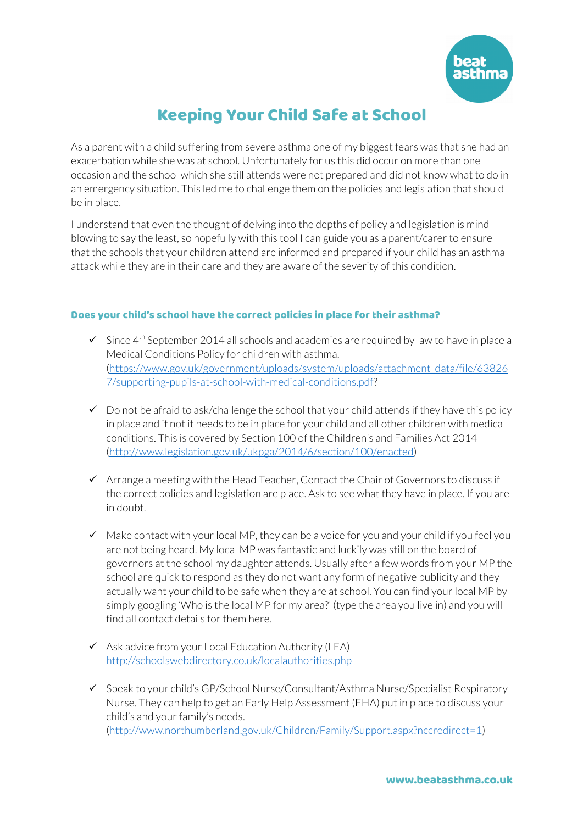

## Keeping Your Child Safe at School

As a parent with a child suffering from severe asthma one of my biggest fears was that she had an exacerbation while she was at school. Unfortunately for us this did occur on more than one occasion and the school which she still attends were not prepared and did not know what to do in an emergency situation. This led me to challenge them on the policies and legislation that should be in place.

I understand that even the thought of delving into the depths of policy and legislation is mind blowing to say the least, so hopefully with this tool I can guide you as a parent/carer to ensure that the schools that your children attend are informed and prepared if your child has an asthma attack while they are in their care and they are aware of the severity of this condition.

## Does your child's school have the correct policies in place for their asthma?

- $\checkmark$  Since 4<sup>th</sup> September 2014 all schools and academies are required by law to have in place a Medical Conditions Policy for children with asthma. (https://www.gov.uk/government/uploads/system/uploads/attachment\_data/file/63826 7/supporting-pupils-at-school-with-medical-conditions.pdf?
- $\checkmark$  Do not be afraid to ask/challenge the school that your child attends if they have this policy in place and if not it needs to be in place for your child and all other children with medical conditions. This is covered by Section 100 of the Children's and Families Act 2014 (http://www.legislation.gov.uk/ukpga/2014/6/section/100/enacted)
- $\checkmark$  Arrange a meeting with the Head Teacher, Contact the Chair of Governors to discuss if the correct policies and legislation are place. Ask to see what they have in place. If you are in doubt.
- $\checkmark$  Make contact with your local MP, they can be a voice for you and your child if you feel you are not being heard. My local MP was fantastic and luckily was still on the board of governors at the school my daughter attends. Usually after a few words from your MP the school are quick to respond as they do not want any form of negative publicity and they actually want your child to be safe when they are at school. You can find your local MP by simply googling 'Who is the local MP for my area?' (type the area you live in) and you will find all contact details for them here.
- $\checkmark$  Ask advice from your Local Education Authority (LEA) http://schoolswebdirectory.co.uk/localauthorities.php
- $\checkmark$  Speak to your child's GP/School Nurse/Consultant/Asthma Nurse/Specialist Respiratory Nurse. They can help to get an Early Help Assessment (EHA) put in place to discuss your child's and your family's needs. (http://www.northumberland.gov.uk/Children/Family/Support.aspx?nccredirect=1)